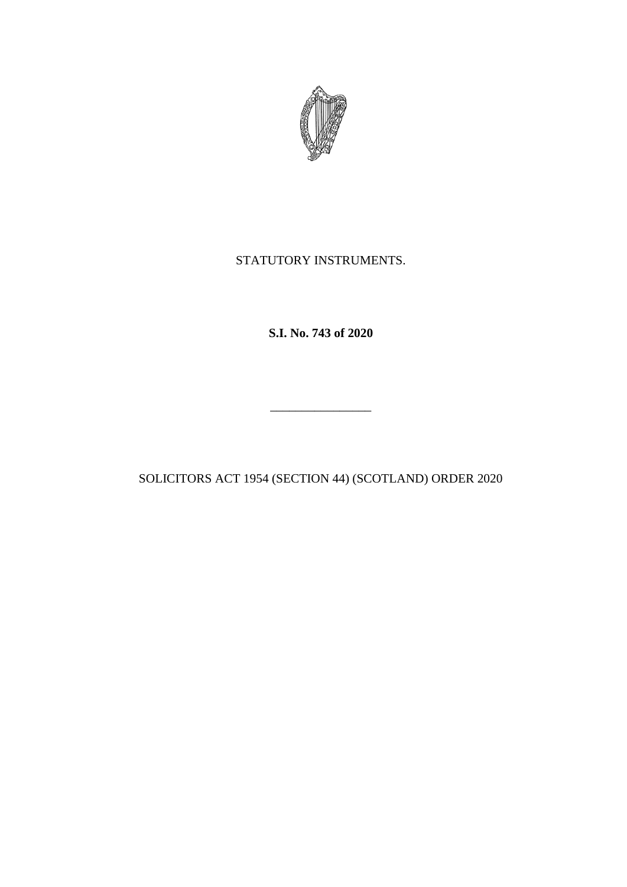

# STATUTORY INSTRUMENTS.

**S.I. No. 743 of 2020**

SOLICITORS ACT 1954 (SECTION 44) (SCOTLAND) ORDER 2020

\_\_\_\_\_\_\_\_\_\_\_\_\_\_\_\_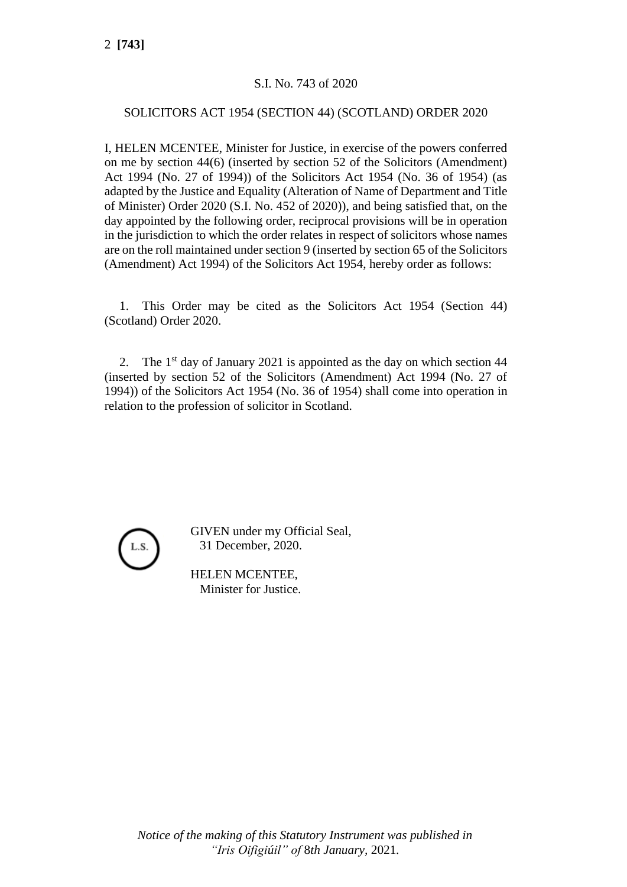2 **[743]**

### S.I. No. 743 of 2020

#### SOLICITORS ACT 1954 (SECTION 44) (SCOTLAND) ORDER 2020

I, HELEN MCENTEE, Minister for Justice, in exercise of the powers conferred on me by section 44(6) (inserted by section 52 of the Solicitors (Amendment) Act 1994 (No. 27 of 1994)) of the Solicitors Act 1954 (No. 36 of 1954) (as adapted by the Justice and Equality (Alteration of Name of Department and Title of Minister) Order 2020 (S.I. No. 452 of 2020)), and being satisfied that, on the day appointed by the following order, reciprocal provisions will be in operation in the jurisdiction to which the order relates in respect of solicitors whose names are on the roll maintained under section 9 (inserted by section 65 of the Solicitors (Amendment) Act 1994) of the Solicitors Act 1954, hereby order as follows:

1. This Order may be cited as the Solicitors Act 1954 (Section 44) (Scotland) Order 2020.

2. The  $1<sup>st</sup>$  day of January 2021 is appointed as the day on which section 44 (inserted by section 52 of the Solicitors (Amendment) Act 1994 (No. 27 of 1994)) of the Solicitors Act 1954 (No. 36 of 1954) shall come into operation in relation to the profession of solicitor in Scotland.



GIVEN under my Official Seal, 31 December, 2020.

HELEN MCENTEE, Minister for Justice.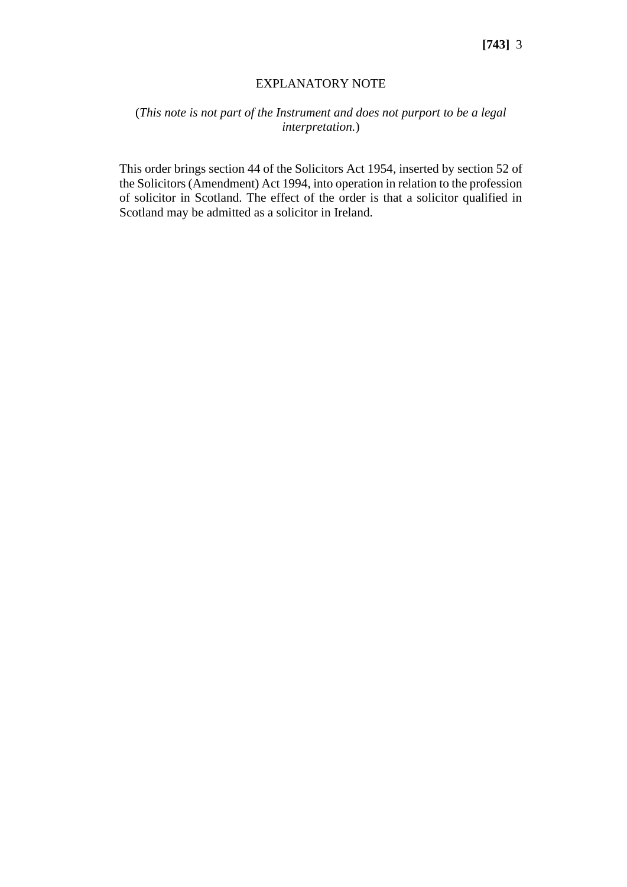#### EXPLANATORY NOTE

## (*This note is not part of the Instrument and does not purport to be a legal interpretation.*)

This order brings [section 44](http://www.irishstatutebook.ie/1954/en/act/pub/0036/sec0044.html#sec44) of the [Solicitors Act 1954,](http://www.irishstatutebook.ie/1954/en/act/pub/0036/index.html) inserted by [section 52](http://www.irishstatutebook.ie/1994/en/act/pub/0027/sec0052.html#sec52) of th[e Solicitors \(Amendment\) Act 1994,](http://www.irishstatutebook.ie/1994/en/act/pub/0027/index.html) into operation in relation to the profession of solicitor in Scotland. The effect of the order is that a solicitor qualified in Scotland may be admitted as a solicitor in Ireland.